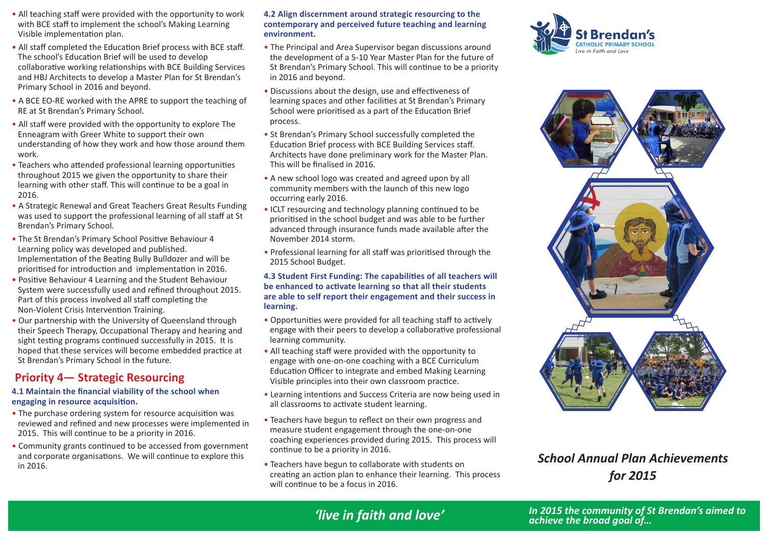- All teaching staff were provided with the opportunity to work with BCE staff to implement the school's Making Learning Visible implementation plan.
- All staff completed the Education Brief process with BCE staff. The school's Education Brief will be used to develop collaborative working relationships with BCE Building Services and HBJ Architects to develop a Master Plan for St Brendan's Primary School in 2016 and beyond.
- A BCE EO-RE worked with the APRE to support the teaching of RE at St Brendan's Primary School.
- All staff were provided with the opportunity to explore The Enneagram with Greer White to support their own understanding of how they work and how those around them work.
- Teachers who attended professional learning opportunities throughout 2015 we given the opportunity to share their learning with other staff. This will continue to be a goal in 2016.
- A Strategic Renewal and Great Teachers Great Results Funding was used to support the professional learning of all staff at St Brendan's Primary School.
- The St Brendan's Primary School Positive Behaviour 4 Learning policy was developed and published. Implementation of the Beating Bully Bulldozer and will be prioritised for introduction and implementation in 2016.
- Positive Behaviour 4 Learning and the Student Behaviour System were successfully used and refined throughout 2015. Part of this process involved all staff completing the Non-Violent Crisis Intervention Training.
- Our partnership with the University of Queensland through their Speech Therapy, Occupational Therapy and hearing and sight testing programs continued successfully in 2015. It is hoped that these services will become embedded practice at St Brendan's Primary School in the future.

## **Priority 4— Strategic Resourcing**

#### **4.1 Maintain the financial viability of the school when engaging in resource acquisition.**

- The purchase ordering system for resource acquisition was reviewed and refined and new processes were implemented in 2015. This will continue to be a priority in 2016.
- Community grants continued to be accessed from government and corporate organisations. We will continue to explore this in 2016.

#### **4.2 Align discernment around strategic resourcing to the contemporary and perceived future teaching and learning environment.**

- The Principal and Area Supervisor began discussions around the development of a 5-10 Year Master Plan for the future of St Brendan's Primary School. This will continue to be a priority in 2016 and beyond.
- Discussions about the design, use and effectiveness of learning spaces and other facilities at St Brendan's Primary School were prioritised as a part of the Education Brief process.
- St Brendan's Primary School successfully completed the Education Brief process with BCE Building Services staff. Architects have done preliminary work for the Master Plan. This will be finalised in 2016.
- A new school logo was created and agreed upon by all community members with the launch of this new logo occurring early 2016.
- ICLT resourcing and technology planning continued to be prioritised in the school budget and was able to be further advanced through insurance funds made available after the November 2014 storm.
- Professional learning for all staff was prioritised through the 2015 School Budget.

#### **4.3 Student First Funding: The capabilities of all teachers will be enhanced to activate learning so that all their students are able to self report their engagement and their success in learning.**

- Opportunities were provided for all teaching staff to actively engage with their peers to develop a collaborative professional learning community.
- All teaching staff were provided with the opportunity to engage with one-on-one coaching with a BCE Curriculum Education Officer to integrate and embed Making Learning Visible principles into their own classroom practice.
- Learning intentions and Success Criteria are now being used in all classrooms to activate student learning.
- Teachers have begun to reflect on their own progress and measure student engagement through the one-on-one coaching experiences provided during 2015. This process will continue to be a priority in 2016.
- Teachers have begun to collaborate with students on creating an action plan to enhance their learning. This process will continue to be a focus in 2016.





## *School Annual Plan Achievements for 2015*

# *'live in faith and love'*

*In 2015 the community of St Brendan's aimed to*